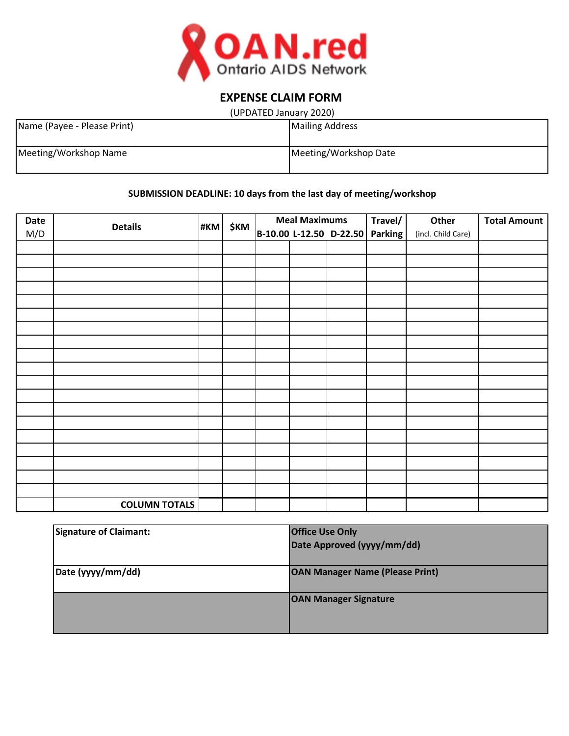

# **EXPENSE CLAIM FORM**

| (UPDATED January 2020) |  |
|------------------------|--|
|------------------------|--|

| Name (Payee - Please Print) | <b>Mailing Address</b> |
|-----------------------------|------------------------|
| Meeting/Workshop Name       | Meeting/Workshop Date  |

# **SUBMISSION DEADLINE: 10 days from the last day of meeting/workshop**

| Date |                      |  | #KM \$KM | <b>Meal Maximums</b> |  |  | Travel/                         | Other              | <b>Total Amount</b> |
|------|----------------------|--|----------|----------------------|--|--|---------------------------------|--------------------|---------------------|
| M/D  | <b>Details</b>       |  |          |                      |  |  | B-10.00 L-12.50 D-22.50 Parking | (incl. Child Care) |                     |
|      |                      |  |          |                      |  |  |                                 |                    |                     |
|      |                      |  |          |                      |  |  |                                 |                    |                     |
|      |                      |  |          |                      |  |  |                                 |                    |                     |
|      |                      |  |          |                      |  |  |                                 |                    |                     |
|      |                      |  |          |                      |  |  |                                 |                    |                     |
|      |                      |  |          |                      |  |  |                                 |                    |                     |
|      |                      |  |          |                      |  |  |                                 |                    |                     |
|      |                      |  |          |                      |  |  |                                 |                    |                     |
|      |                      |  |          |                      |  |  |                                 |                    |                     |
|      |                      |  |          |                      |  |  |                                 |                    |                     |
|      |                      |  |          |                      |  |  |                                 |                    |                     |
|      |                      |  |          |                      |  |  |                                 |                    |                     |
|      |                      |  |          |                      |  |  |                                 |                    |                     |
|      |                      |  |          |                      |  |  |                                 |                    |                     |
|      |                      |  |          |                      |  |  |                                 |                    |                     |
|      |                      |  |          |                      |  |  |                                 |                    |                     |
|      |                      |  |          |                      |  |  |                                 |                    |                     |
|      |                      |  |          |                      |  |  |                                 |                    |                     |
|      |                      |  |          |                      |  |  |                                 |                    |                     |
|      | <b>COLUMN TOTALS</b> |  |          |                      |  |  |                                 |                    |                     |

| <b>Signature of Claimant:</b> | <b>Office Use Only</b>                 |
|-------------------------------|----------------------------------------|
|                               | Date Approved (yyyy/mm/dd)             |
|                               |                                        |
| Date (yyyy/mm/dd)             | <b>OAN Manager Name (Please Print)</b> |
|                               |                                        |
|                               | <b>OAN Manager Signature</b>           |
|                               |                                        |
|                               |                                        |